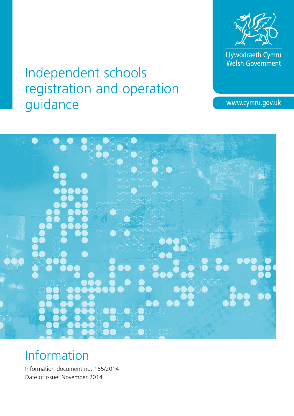

Llywodraeth Cymru<br>Welsh Government

# Independent schools registration and operation guidance

www.cymru.gov.uk



# Information

Information document no: 165/2014 Date of issue: November 2014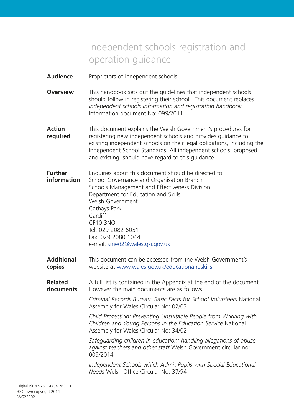# Independent schools registration and operation guidance

- **Audience** Proprietors of independent schools.
- **Overview** This handbook sets out the quidelines that independent schools should follow in registering their school. This document replaces *Independent schools information and registration handbook* Information document No: 099/2011.
- **Action** This document explains the Welsh Government's procedures for **required** registering new independent schools and provides guidance to existing independent schools on their legal obligations, including the Independent School Standards. All independent schools, proposed and existing, should have regard to this guidance.
- **Further** Enquiries about this document should be directed to: **information** School Governance and Organisation Branch Schools Management and Effectiveness Division Department for Education and Skills Welsh Government Cathays Park Cardiff CF10 3NQ Tel: 029 2082 6051 Fax: 029 2080 1044 e-mail: smed2@wales.gsi.gov.uk
- **Additional** This document can be accessed from the Welsh Government's **copies** website at www.wales.gov.uk/educationandskills
- **Related** A full list is contained in the Appendix at the end of the document. **documents** However the main documents are as follows.

*Criminal Records Bureau: Basic Facts for School Volunteers* National Assembly for Wales Circular No: 02/03

*Child Protection: Preventing Unsuitable People from Working with Children and Young Persons in the Education Service* National Assembly for Wales Circular No: 34/02

*Safeguarding children in education: handling allegations of abuse against teachers and other staff* Welsh Government circular no: 009/2014

*Independent Schools which Admit Pupils with Special Educational Needs* Welsh Office Circular No: 37/94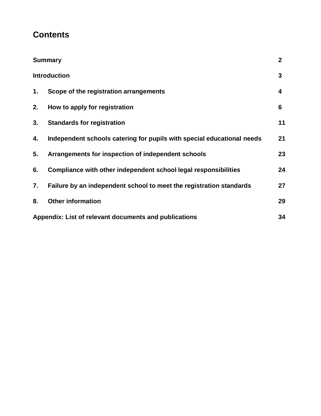# **Contents**

| <b>Summary</b>                                        |                                                                        | $\overline{2}$ |
|-------------------------------------------------------|------------------------------------------------------------------------|----------------|
| <b>Introduction</b>                                   |                                                                        | 3              |
| 1.                                                    | Scope of the registration arrangements                                 | 4              |
| 2.                                                    | How to apply for registration                                          | 6              |
| 3.                                                    | <b>Standards for registration</b>                                      | 11             |
| 4.                                                    | Independent schools catering for pupils with special educational needs | 21             |
| 5.                                                    | Arrangements for inspection of independent schools                     | 23             |
| 6.                                                    | Compliance with other independent school legal responsibilities        | 24             |
| 7.                                                    | Failure by an independent school to meet the registration standards    | 27             |
| 8.                                                    | <b>Other information</b>                                               | 29             |
| Appendix: List of relevant documents and publications |                                                                        | 34             |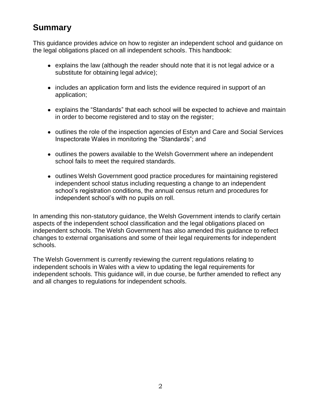# **Summary**

This guidance provides advice on how to register an independent school and guidance on the legal obligations placed on all independent schools. This handbook:

- explains the law (although the reader should note that it is not legal advice or a substitute for obtaining legal advice);
- includes an application form and lists the evidence required in support of an application;
- explains the "Standards" that each school will be expected to achieve and maintain in order to become registered and to stay on the register;
- outlines the role of the inspection agencies of Estyn and Care and Social Services Inspectorate Wales in monitoring the "Standards"; and
- outlines the powers available to the Welsh Government where an independent school fails to meet the required standards.
- outlines Welsh Government good practice procedures for maintaining registered independent school status including requesting a change to an independent school's registration conditions, the annual census return and procedures for independent school's with no pupils on roll.

In amending this non-statutory guidance, the Welsh Government intends to clarify certain aspects of the independent school classification and the legal obligations placed on independent schools. The Welsh Government has also amended this guidance to reflect changes to external organisations and some of their legal requirements for independent schools.

The Welsh Government is currently reviewing the current regulations relating to independent schools in Wales with a view to updating the legal requirements for independent schools. This guidance will, in due course, be further amended to reflect any and all changes to regulations for independent schools.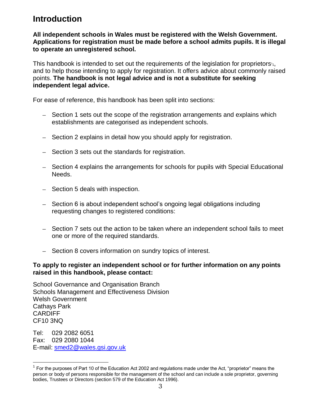# **Introduction**

**All independent schools in Wales must be registered with the Welsh Government. Applications for registration must be made before a school admits pupils. It is illegal to operate an unregistered school.**

This handbook is intended to set out the requirements of the legislation for proprietors $4$ , and to help those intending to apply for registration. It offers advice about commonly raised points. **The handbook is not legal advice and is not a substitute for seeking independent legal advice.**

For ease of reference, this handbook has been split into sections:

- Section 1 sets out the scope of the registration arrangements and explains which establishments are categorised as independent schools.
- Section 2 explains in detail how you should apply for registration.
- Section 3 sets out the standards for registration.
- Section 4 explains the arrangements for schools for pupils with Special Educational Needs.
- Section 5 deals with inspection.
- Section 6 is about independent school's ongoing legal obligations including requesting changes to registered conditions:
- Section 7 sets out the action to be taken where an independent school fails to meet one or more of the required standards.
- Section 8 covers information on sundry topics of interest.

### **To apply to register an independent school or for further information on any points raised in this handbook, please contact:**

School Governance and Organisation Branch Schools Management and Effectiveness Division Welsh Government Cathays Park **CARDIFF** CF10 3NQ

Tel: 029 2082 6051 Fax: 029 2080 1044 E-mail: [smed2@wales.gsi.gov.uk](mailto:Graham.Davies@Wales.gsi.gov.uk)

 $1$  For the purposes of Part 10 of the Education Act 2002 and regulations made under the Act, "proprietor" means the person or body of persons responsible for the management of the school and can include a sole proprietor, governing bodies, Trustees or Directors (section 579 of the Education Act 1996).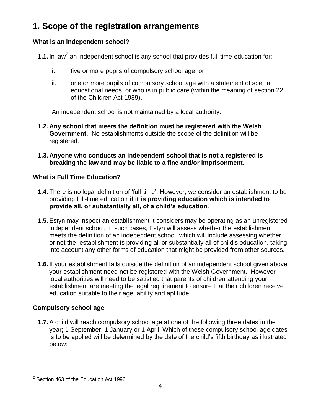# **1. Scope of the registration arrangements**

# **What is an independent school?**

**1.1.** In law<sup>2</sup> an independent school is any school that provides full time education for:

- i. five or more pupils of compulsory school age; or
- ii. one or more pupils of compulsory school age with a statement of special educational needs, or who is in public care (within the meaning of section 22 of the Children Act 1989).

An independent school is not maintained by a local authority.

- **1.2. Any school that meets the definition must be registered with the Welsh Government.** No establishments outside the scope of the definition will be registered.
- **1.3. Anyone who conducts an independent school that is not a registered is breaking the law and may be liable to a fine and/or imprisonment.**

# **What is Full Time Education?**

- **1.4.** There is no legal definition of 'full-time'. However, we consider an establishment to be providing full-time education **if it is providing education which is intended to provide all, or substantially all, of a child's education**.
- **1.5.**Estyn may inspect an establishment it considers may be operating as an unregistered independent school. In such cases, Estyn will assess whether the establishment meets the definition of an independent school, which will include assessing whether or not the establishment is providing all or substantially all of child's education, taking into account any other forms of education that might be provided from other sources.
- **1.6.** If your establishment falls outside the definition of an independent school given above your establishment need not be registered with the Welsh Government. However local authorities will need to be satisfied that parents of children attending your establishment are meeting the legal requirement to ensure that their children receive education suitable to their age, ability and aptitude.

# **Compulsory school age**

**1.7.**A child will reach compulsory school age at one of the following three dates in the year; 1 September, 1 January or 1 April. Which of these compulsory school age dates is to be applied will be determined by the date of the child's fifth birthday as illustrated below:

 $\overline{a}$  $2$  Section 463 of the Education Act 1996.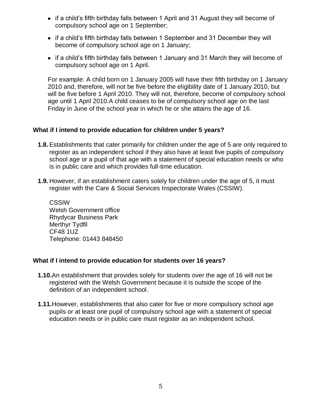- if a child's fifth birthday falls between 1 April and 31 August they will become of compulsory school age on 1 September;
- if a child's fifth birthday falls between 1 September and 31 December they will become of compulsory school age on 1 January;
- if a child's fifth birthday falls between 1 January and 31 March they will become of compulsory school age on 1 April.

For example: A child born on 1 January 2005 will have their fifth birthday on 1 January 2010 and, therefore, will not be five before the eligibility date of 1 January 2010, but will be five before 1 April 2010. They will not, therefore, become of compulsory school age until 1 April 2010.A child ceases to be of compulsory school age on the last Friday in June of the school year in which he or she attains the age of 16.

### **What if I intend to provide education for children under 5 years?**

- **1.8.**Establishments that cater primarily for children under the age of 5 are only required to register as an independent school if they also have at least five pupils of compulsory school age or a pupil of that age with a statement of special education needs or who is in public care and which provides full-time education.
- **1.9.** However, if an establishment caters solely for children under the age of 5, it must register with the Care & Social Services Inspectorate Wales (CSSIW).

**CSSIW** Welsh Government office Rhydycar Business Park Merthyr Tydfil CF48 1UZ Telephone: 01443 848450

### **What if I intend to provide education for students over 16 years?**

- **1.10.**An establishment that provides solely for students over the age of 16 will not be registered with the Welsh Government because it is outside the scope of the definition of an independent school.
- **1.11.**However, establishments that also cater for five or more compulsory school age pupils or at least one pupil of compulsory school age with a statement of special education needs or in public care must register as an independent school.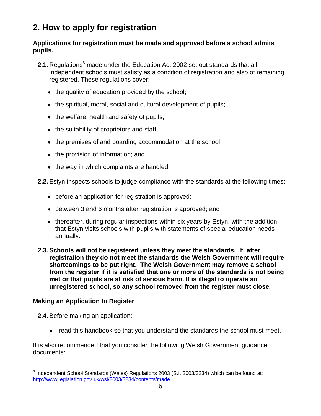# **2. How to apply for registration**

### **Applications for registration must be made and approved before a school admits pupils.**

- **2.1.** Regulations<sup>3</sup> made under the Education Act 2002 set out standards that all independent schools must satisfy as a condition of registration and also of remaining registered. These regulations cover:
	- the quality of education provided by the school;
	- the spiritual, moral, social and cultural development of pupils;
	- $\bullet$  the welfare, health and safety of pupils;
	- the suitability of proprietors and staff;
	- the premises of and boarding accommodation at the school;
	- the provision of information; and
	- the way in which complaints are handled.

**2.2.**Estyn inspects schools to judge compliance with the standards at the following times:

- before an application for registration is approved;
- between 3 and 6 months after registration is approved; and
- thereafter, during regular inspections within six years by Estyn, with the addition that Estyn visits schools with pupils with statements of special education needs annually.
- **2.3.Schools will not be registered unless they meet the standards. If, after registration they do not meet the standards the Welsh Government will require shortcomings to be put right. The Welsh Government may remove a school from the register if it is satisfied that one or more of the standards is not being met or that pupils are at risk of serious harm. It is illegal to operate an unregistered school, so any school removed from the register must close.**

### **Making an Application to Register**

**2.4.**Before making an application:

• read this handbook so that you understand the standards the school must meet.

It is also recommended that you consider the following Welsh Government guidance documents:

 $\overline{a}$  $3$  Independent School Standards (Wales) Regulations 2003 (S.I. 2003/3234) which can be found at: <http://www.legislation.gov.uk/wsi/2003/3234/contents/made>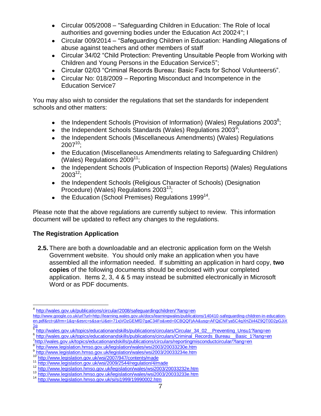- Circular 005/2008 "Safeguarding Children in Education: The Role of local authorities and governing bodies under the Education Act 20024"; I
- Circular 009/2014 "Safeguarding Children in Education: Handling Allegations of abuse against teachers and other members of staff
- Circular 34/02 "Child Protection: Preventing Unsuitable People from Working with Children and Young Persons in the Education Service5";
- Circular 02/03 "Criminal Records Bureau: Basic Facts for School Volunteers6".
- Circular No: 018/2009 Reporting Misconduct and Incompetence in the Education Service7

You may also wish to consider the regulations that set the standards for independent schools and other matters:

- the Independent Schools (Provision of Information) (Wales) Regulations 2003<sup>8</sup>;
- the Independent Schools Standards (Wales) Regulations 2003<sup>9</sup>;
- the Independent Schools (Miscellaneous Amendments) (Wales) Regulations  $2007^{10}$ ;
- the Education (Miscellaneous Amendments relating to Safeguarding Children) (Wales) Regulations 2009<sup>11</sup>;
- the Independent Schools (Publication of Inspection Reports) (Wales) Regulations  $2003^{12}$
- the Independent Schools (Religious Character of Schools) (Designation Procedure) (Wales) Regulations 2003<sup>13</sup>;
- the Education (School Premises) Regulations 1999<sup>14</sup>.

Please note that the above regulations are currently subject to review. This information document will be updated to reflect any changes to the regulations.

# **The Registration Application**

 $\overline{a}$ 

**2.5.** There are both a downloadable and an electronic application form on the Welsh Government website. You should only make an application when you have assembled all the information needed. If submitting an application in hard copy, **two copies** of the following documents should be enclosed with your completed application. Items 2, 3, 4 & 5 may instead be submitted electronically in Microsoft Word or as PDF documents.

<sup>4</sup> <http://wales.gov.uk/publications/circular/2008/safeguardingchildren/?lang=en>

http://www.google.co.uk/url?url=http://learning.wales.gov.uk/docs/learningwales/publications/140410-safeguarding-children-in-educationen.pdf&rct=j&frm=1&q=&esrc=s&sa=U&ei=71xjVOzGEMfD7gaC34Fo&ved=0CBQQFjAA&usg=AFQjCNFya5C4qXHZii44Z9QT0D2pGJiX  $1<sub>q</sub>$ 

<sup>5</sup> [http://wales.gov.uk/topics/educationandskills/publications/circulars/Circular\\_34\\_02\\_\\_Preventing\\_Unsu1?lang=en](http://wales.gov.uk/topics/educationandskills/publications/circulars/Circular_34_02__Preventing_Unsu1?lang=en)

<sup>6</sup> [http://wales.gov.uk/topics/educationandskills/publications/circulars/Criminal\\_Records\\_Bureau\\_\\_Basic\\_1?lang=en](http://wales.gov.uk/topics/educationandskills/publications/circulars/Criminal_Records_Bureau__Basic_1?lang=en)

<sup>7&</sup>lt;br><http://wales.gov.uk/topics/educationandskills/publications/circulars/reportingmisconductcircular/?lang=en><br>8 http://www.logiclotion.broce.gov.uk/logiclotion/webservei2003/200323330.p.htm

<http://www.legislation.hmso.gov.uk/legislation/wales/wsi2003/20033230e.htm> 9

<sup>&</sup>lt;sup>9</sup><http://www.legislation.hmso.gov.uk/legislation/wales/wsi2003/20033234e.htm><br><sup>10</sup>http://www.legislation.gov.uk/wsi/2007/047/eastertainede

<http://www.legislation.gov.uk/wsi/2007/947/contents/made>

<sup>11</sup> <http://www.legislation.gov.uk/wsi/2009/2544/regulation/4/made>

<sup>12</sup> <http://www.legislation.hmso.gov.uk/legislation/wales/wsi2003/20033232e.htm>

<sup>13</sup> <http://www.legislation.hmso.gov.uk/legislation/wales/wsi2003/20033233e.htm>

<sup>14</sup> <http://www.legislation.hmso.gov.uk/si/si1999/19990002.htm>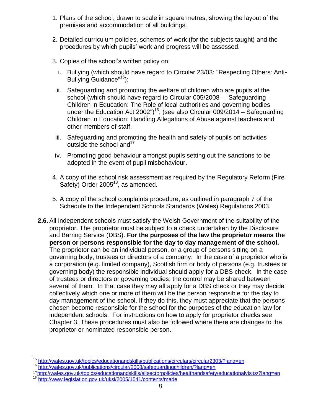- 1. Plans of the school, drawn to scale in square metres, showing the layout of the premises and accommodation of all buildings.
- 2. Detailed curriculum policies, schemes of work (for the subjects taught) and the procedures by which pupils' work and progress will be assessed.
- 3. Copies of the school's written policy on:
	- i. Bullying (which should have regard to Circular 23/03: "Respecting Others: Anti-Bullying Guidance"<sup>15</sup>);
	- ii. Safeguarding and promoting the welfare of children who are pupils at the school (which should have regard to Circular 005/2008 – "Safeguarding Children in Education: The Role of local authorities and governing bodies under the Education Act 2002")<sup>16</sup>; (see also Circular 009/2014 – Safeguarding Children in Education: Handling Allegations of Abuse against teachers and other members of staff.
- iii. Safeguarding and promoting the health and safety of pupils on activities outside the school and  $17$
- iv. Promoting good behaviour amongst pupils setting out the sanctions to be adopted in the event of pupil misbehaviour.
- 4. A copy of the school risk assessment as required by the Regulatory Reform (Fire Safety) Order  $2005^{18}$ , as amended.
- 5. A copy of the school complaints procedure, as outlined in paragraph 7 of the Schedule to the Independent Schools Standards (Wales) Regulations 2003.
- **2.6.**All independent schools must satisfy the Welsh Government of the suitability of the proprietor. The proprietor must be subject to a check undertaken by the Disclosure and Barring Service (DBS). **For the purposes of the law the proprietor means the person or persons responsible for the day to day management of the school.**  The proprietor can be an individual person, or a group of persons sitting on a governing body, trustees or directors of a company. In the case of a proprietor who is a corporation (e.g. limited company), Scottish firm or body of persons (e.g. trustees or governing body) the responsible individual should apply for a DBS check. In the case of trustees or directors or governing bodies, the control may be shared between several of them. In that case they may all apply for a DBS check or they may decide collectively which one or more of them will be the person responsible for the day to day management of the school. If they do this, they must appreciate that the persons chosen become responsible for the school for the purposes of the education law for independent schools. For instructions on how to apply for proprietor checks see Chapter 3. These procedures must also be followed where there are changes to the proprietor or nominated responsible person.

<sup>&</sup>lt;sup>15</sup> <http://wales.gov.uk/topics/educationandskills/publications/circulars/circular2303/?lang=en>

<sup>16</sup> <http://wales.gov.uk/publications/circular/2008/safeguardingchildren/?lang=en>

<sup>17</sup><http://wales.gov.uk/topics/educationandskills/allsectorpolicies/healthandsafety/educationalvisits/?lang=en> <sup>18</sup> <http://www.legislation.gov.uk/uksi/2005/1541/contents/made>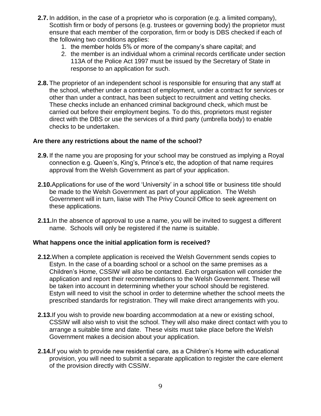- **2.7.** In addition, in the case of a proprietor who is corporation (e.g. a limited company), Scottish firm or body of persons (e.g. trustees or governing body) the proprietor must ensure that each member of the corporation, firm or body is DBS checked if each of the following two conditions applies:
	- 1. the member holds 5% or more of the company's share capital; and
	- 2. the member is an individual whom a criminal records certificate under section 113A of the Police Act 1997 must be issued by the Secretary of State in response to an application for such.
- **2.8.** The proprietor of an independent school is responsible for ensuring that any staff at the school, whether under a contract of employment, under a contract for services or other than under a contract, has been subject to recruitment and vetting checks. These checks include an enhanced criminal background check, which must be carried out before their employment begins. To do this, proprietors must register direct with the DBS or use the services of a third party (umbrella body) to enable checks to be undertaken.

### **Are there any restrictions about the name of the school?**

- **2.9.** If the name you are proposing for your school may be construed as implying a Royal connection e.g. Queen's, King's, Prince's etc, the adoption of that name requires approval from the Welsh Government as part of your application.
- **2.10.**Applications for use of the word 'University' in a school title or business title should be made to the Welsh Government as part of your application. The Welsh Government will in turn, liaise with The Privy Council Office to seek agreement on these applications.
- **2.11.**In the absence of approval to use a name, you will be invited to suggest a different name. Schools will only be registered if the name is suitable.

### **What happens once the initial application form is received?**

- **2.12.**When a complete application is received the Welsh Government sends copies to Estyn. In the case of a boarding school or a school on the same premises as a Children's Home, CSSIW will also be contacted. Each organisation will consider the application and report their recommendations to the Welsh Government. These will be taken into account in determining whether your school should be registered. Estyn will need to visit the school in order to determine whether the school meets the prescribed standards for registration. They will make direct arrangements with you.
- **2.13.**If you wish to provide new boarding accommodation at a new or existing school, CSSIW will also wish to visit the school. They will also make direct contact with you to arrange a suitable time and date. These visits must take place before the Welsh Government makes a decision about your application.
- **2.14.**If you wish to provide new residential care, as a Children's Home with educational provision, you will need to submit a separate application to register the care element of the provision directly with CSSIW.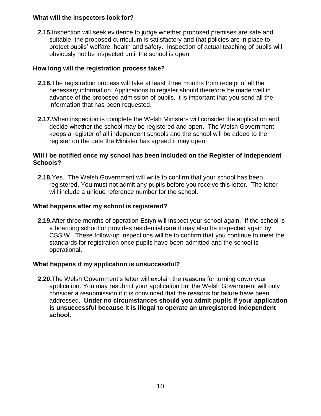### **What will the inspectors look for?**

**2.15.**Inspection will seek evidence to judge whether proposed premises are safe and suitable, the proposed curriculum is satisfactory and that policies are in place to protect pupils' welfare, health and safety. Inspection of actual teaching of pupils will obviously not be inspected until the school is open.

# **How long will the registration process take?**

- **2.16.**The registration process will take at least three months from receipt of all the necessary information. Applications to register should therefore be made well in advance of the proposed admission of pupils. It is important that you send all the information that has been requested.
- **2.17.**When inspection is complete the Welsh Ministers will consider the application and decide whether the school may be registered and open. The Welsh Government keeps a register of all independent schools and the school will be added to the register on the date the Minister has agreed it may open.

### **Will I be notified once my school has been included on the Register of Independent Schools?**

**2.18.**Yes. The Welsh Government will write to confirm that your school has been registered. You must not admit any pupils before you receive this letter. The letter will include a unique reference number for the school.

# **What happens after my school is registered?**

**2.19.**After three months of operation Estyn will inspect your school again. If the school is a boarding school or provides residential care it may also be inspected again by CSSIW. These follow-up inspections will be to confirm that you continue to meet the standards for registration once pupils have been admitted and the school is operational.

# **What happens if my application is unsuccessful?**

**2.20.**The Welsh Government's letter will explain the reasons for turning down your application. You may resubmit your application but the Welsh Government will only consider a resubmission if it is convinced that the reasons for failure have been addressed. **Under no circumstances should you admit pupils if your application is unsuccessful because it is illegal to operate an unregistered independent school.**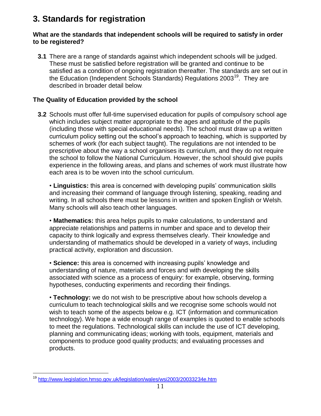# **3. Standards for registration**

### **What are the standards that independent schools will be required to satisfy in order to be registered?**

**3.1** There are a range of standards against which independent schools will be judged. These must be satisfied before registration will be granted and continue to be satisfied as a condition of ongoing registration thereafter. The standards are set out in the Education (Independent Schools Standards) Regulations 2003<sup>19</sup>. They are described in broader detail below.

# **The Quality of Education provided by the school**

**3.2** Schools must offer full-time supervised education for pupils of compulsory school age which includes subject matter appropriate to the ages and aptitude of the pupils (including those with special educational needs). The school must draw up a written curriculum policy setting out the school's approach to teaching, which is supported by schemes of work (for each subject taught). The regulations are not intended to be prescriptive about the way a school organises its curriculum, and they do not require the school to follow the National Curriculum. However, the school should give pupils experience in the following areas, and plans and schemes of work must illustrate how each area is to be woven into the school curriculum.

• **Linguistics:** this area is concerned with developing pupils' communication skills and increasing their command of language through listening, speaking, reading and writing. In all schools there must be lessons in written and spoken English or Welsh. Many schools will also teach other languages.

• **Mathematics:** this area helps pupils to make calculations, to understand and appreciate relationships and patterns in number and space and to develop their capacity to think logically and express themselves clearly. Their knowledge and understanding of mathematics should be developed in a variety of ways, including practical activity, exploration and discussion.

• **Science:** this area is concerned with increasing pupils' knowledge and understanding of nature, materials and forces and with developing the skills associated with science as a process of enquiry: for example, observing, forming hypotheses, conducting experiments and recording their findings.

• **Technology:** we do not wish to be prescriptive about how schools develop a curriculum to teach technological skills and we recognise some schools would not wish to teach some of the aspects below e.g. ICT (information and communication technology). We hope a wide enough range of examples is quoted to enable schools to meet the regulations. Technological skills can include the use of ICT developing, planning and communicating ideas; working with tools, equipment, materials and components to produce good quality products; and evaluating processes and products.

<sup>&</sup>lt;sup>19</sup> <http://www.legislation.hmso.gov.uk/legislation/wales/wsi2003/20033234e.htm>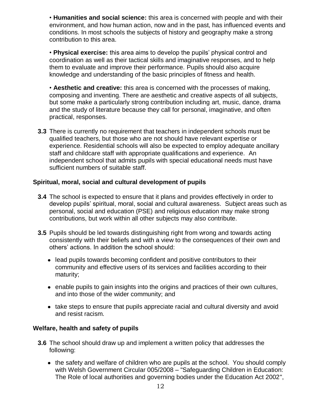• **Humanities and social science:** this area is concerned with people and with their environment, and how human action, now and in the past, has influenced events and conditions. In most schools the subjects of history and geography make a strong contribution to this area.

• **Physical exercise:** this area aims to develop the pupils' physical control and coordination as well as their tactical skills and imaginative responses, and to help them to evaluate and improve their performance. Pupils should also acquire knowledge and understanding of the basic principles of fitness and health.

• **Aesthetic and creative:** this area is concerned with the processes of making, composing and inventing. There are aesthetic and creative aspects of all subjects, but some make a particularly strong contribution including art, music, dance, drama and the study of literature because they call for personal, imaginative, and often practical, responses.

**3.3** There is currently no requirement that teachers in independent schools must be qualified teachers, but those who are not should have relevant expertise or experience. Residential schools will also be expected to employ adequate ancillary staff and childcare staff with appropriate qualifications and experience. An independent school that admits pupils with special educational needs must have sufficient numbers of suitable staff.

### **Spiritual, moral, social and cultural development of pupils**

- **3.4** The school is expected to ensure that it plans and provides effectively in order to develop pupils' spiritual, moral, social and cultural awareness. Subject areas such as personal, social and education (PSE) and religious education may make strong contributions, but work within all other subjects may also contribute.
- **3.5** Pupils should be led towards distinguishing right from wrong and towards acting consistently with their beliefs and with a view to the consequences of their own and others' actions. In addition the school should:
	- lead pupils towards becoming confident and positive contributors to their community and effective users of its services and facilities according to their maturity;
	- enable pupils to gain insights into the origins and practices of their own cultures, and into those of the wider community; and
	- take steps to ensure that pupils appreciate racial and cultural diversity and avoid and resist racism.

### **Welfare, health and safety of pupils**

- **3.6** The school should draw up and implement a written policy that addresses the following:
	- the safety and welfare of children who are pupils at the school. You should comply with Welsh Government Circular 005/2008 – "Safeguarding Children in Education: The Role of local authorities and governing bodies under the Education Act 2002",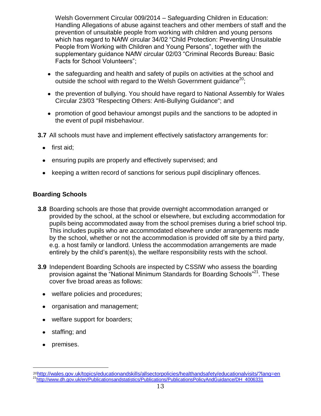Welsh Government Circular 009/2014 – Safeguarding Children in Education: Handling Allegations of abuse against teachers and other members of staff and the prevention of unsuitable people from working with children and young persons which has regard to NAfW circular 34/02 "Child Protection: Preventing Unsuitable People from Working with Children and Young Persons", together with the supplementary guidance NAfW circular 02/03 "Criminal Records Bureau: Basic Facts for School Volunteers";

- the safeguarding and health and safety of pupils on activities at the school and outside the school with regard to the Welsh Government guidance<sup>20</sup>;
- the prevention of bullying. You should have regard to National Assembly for Wales Circular 23/03 "Respecting Others: Anti-Bullying Guidance"; and
- promotion of good behaviour amongst pupils and the sanctions to be adopted in the event of pupil misbehaviour.
- **3.7** All schools must have and implement effectively satisfactory arrangements for:
	- first aid;  $\bullet$
	- ensuring pupils are properly and effectively supervised; and
	- keeping a written record of sanctions for serious pupil disciplinary offences.

### **Boarding Schools**

- **3.8** Boarding schools are those that provide overnight accommodation arranged or provided by the school, at the school or elsewhere, but excluding accommodation for pupils being accommodated away from the school premises during a brief school trip. This includes pupils who are accommodated elsewhere under arrangements made by the school, whether or not the accommodation is provided off site by a third party, e.g. a host family or landlord. Unless the accommodation arrangements are made entirely by the child's parent(s), the welfare responsibility rests with the school.
- **3.9** Independent Boarding Schools are inspected by CSSIW who assess the boarding provision against the "National Minimum Standards for Boarding Schools"<sup>21</sup>. These cover five broad areas as follows:
	- welfare policies and procedures;
	- organisation and management;
	- welfare support for boarders;
	- staffing; and
	- premises.

<sup>20</sup><http://wales.gov.uk/topics/educationandskills/allsectorpolicies/healthandsafety/educationalvisits/?lang=en> <sup>21</sup>[http://www.dh.gov.uk/en/Publicationsandstatistics/Publications/PublicationsPolicyAndGuidance/DH\\_4006331](http://www.dh.gov.uk/en/Publicationsandstatistics/Publications/PublicationsPolicyAndGuidance/DH_4006331)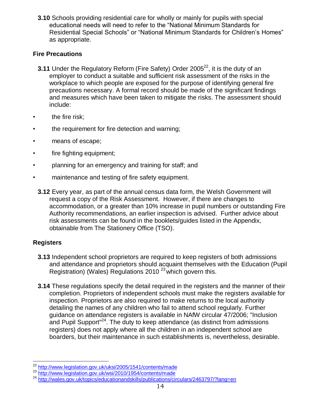**3.10** Schools providing residential care for wholly or mainly for pupils with special educational needs will need to refer to the "National Minimum Standards for Residential Special Schools" or "National Minimum Standards for Children's Homes" as appropriate.

# **Fire Precautions**

- **3.11** Under the Regulatory Reform (Fire Safety) Order 2005<sup>22</sup>, it is the duty of an employer to conduct a suitable and sufficient risk assessment of the risks in the workplace to which people are exposed for the purpose of identifying general fire precautions necessary. A formal record should be made of the significant findings and measures which have been taken to mitigate the risks. The assessment should include:
- the fire risk;
- the requirement for fire detection and warning;
- means of escape;
- fire fighting equipment;
- planning for an emergency and training for staff; and
- maintenance and testing of fire safety equipment.
	- **3.12** Every year, as part of the annual census data form, the Welsh Government will request a copy of the Risk Assessment. However, if there are changes to accommodation, or a greater than 10% increase in pupil numbers or outstanding Fire Authority recommendations, an earlier inspection is advised. Further advice about risk assessments can be found in the booklets/guides listed in the Appendix, obtainable from The Stationery Office (TSO).

# **Registers**

- **3.13** Independent school proprietors are required to keep registers of both admissions and attendance and proprietors should acquaint themselves with the Education (Pupil Registration) (Wales) Regulations 2010<sup> $23$ </sup> which govern this.
- **3.14** These regulations specify the detail required in the registers and the manner of their completion. Proprietors of independent schools must make the registers available for inspection. Proprietors are also required to make returns to the local authority detailing the names of any children who fail to attend school regularly. Further guidance on attendance registers is available in NAfW circular 47/2006; "Inclusion and Pupil Support<sup> $24$ </sup>. The duty to keep attendance (as distinct from admissions registers) does not apply where all the children in an independent school are boarders, but their maintenance in such establishments is, nevertheless, desirable.

 $\overline{a}$ <sup>22</sup> <http://www.legislation.gov.uk/uksi/2005/1541/contents/made>

<sup>23</sup> <http://www.legislation.gov.uk/wsi/2010/1954/contents/made>

<sup>&</sup>lt;sup>24</sup> <http://wales.gov.uk/topics/educationandskills/publications/circulars/2463797/?lang=en>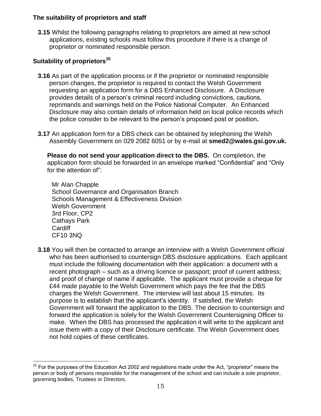### **The suitability of proprietors and staff**

**3.15** Whilst the following paragraphs relating to proprietors are aimed at new school applications, existing schools must follow this procedure if there is a change of proprietor or nominated responsible person.

# **Suitability of proprietors<sup>25</sup>**

- **3.16** As part of the application process or if the proprietor or nominated responsible person changes, the proprietor is required to contact the Welsh Government requesting an application form for a DBS Enhanced Disclosure. A Disclosure provides details of a person's criminal record including convictions, cautions, reprimands and warnings held on the Police National Computer. An Enhanced Disclosure may also contain details of information held on local police records which the police consider to be relevant to the person's proposed post or position**.**
- **3.17** An application form for a DBS check can be obtained by telephoning the Welsh Assembly Government on 029 2082 6051 or by e-mail at **smed2@wales.gsi.gov.uk.**

**Please do not send your application direct to the DBS.** On completion, the application form should be forwarded in an envelope marked "Confidential" and "Only for the attention of":

Mr Alan Chapple School Governance and Organisation Branch Schools Management & Effectiveness Division Welsh Government 3rd Floor, CP2 Cathays Park **Cardiff** CF10 3NQ

**3.18** You will then be contacted to arrange an interview with a Welsh Government official who has been authorised to countersign DBS disclosure applications. Each applicant must include the following documentation with their application: a document with a recent photograph – such as a driving licence or passport; proof of current address; and proof of change of name if applicable. The applicant must provide a cheque for £44 made payable to the Welsh Government which pays the fee that the DBS charges the Welsh Government. The interview will last about 15 minutes. Its purpose is to establish that the applicant's identity. If satisfied, the Welsh Government will forward the application to the DBS. The decision to countersign and forward the application is solely for the Welsh Government Countersigning Officer to make. When the DBS has processed the application it will write to the applicant and issue them with a copy of their Disclosure certificate. The Welsh Government does not hold copies of these certificates.

 $\overline{a}$  $25$  For the purposes of the Education Act 2002 and regulations made under the Act, "proprietor" means the person or body of persons responsible for the management of the school and can include a sole proprietor, governing bodies, Trustees or Directors.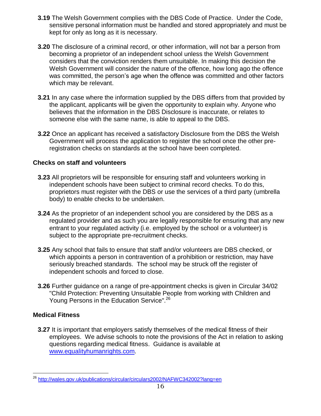- **3.19** The Welsh Government complies with the DBS Code of Practice. Under the Code, sensitive personal information must be handled and stored appropriately and must be kept for only as long as it is necessary.
- **3.20** The disclosure of a criminal record, or other information, will not bar a person from becoming a proprietor of an independent school unless the Welsh Government considers that the conviction renders them unsuitable. In making this decision the Welsh Government will consider the nature of the offence, how long ago the offence was committed, the person's age when the offence was committed and other factors which may be relevant.
- **3.21** In any case where the information supplied by the DBS differs from that provided by the applicant, applicants will be given the opportunity to explain why. Anyone who believes that the information in the DBS Disclosure is inaccurate, or relates to someone else with the same name, is able to appeal to the DBS.
- **3.22** Once an applicant has received a satisfactory Disclosure from the DBS the Welsh Government will process the application to register the school once the other preregistration checks on standards at the school have been completed.

# **Checks on staff and volunteers**

- **3.23** All proprietors will be responsible for ensuring staff and volunteers working in independent schools have been subject to criminal record checks. To do this, proprietors must register with the DBS or use the services of a third party (umbrella body) to enable checks to be undertaken.
- **3.24** As the proprietor of an independent school you are considered by the DBS as a regulated provider and as such you are legally responsible for ensuring that any new entrant to your regulated activity (i.e. employed by the school or a volunteer) is subject to the appropriate pre-recruitment checks.
- **3.25** Any school that fails to ensure that staff and/or volunteers are DBS checked, or which appoints a person in contravention of a prohibition or restriction, may have seriously breached standards. The school may be struck off the register of independent schools and forced to close.
- **3.26** Further guidance on a range of pre-appointment checks is given in Circular 34/02 "Child Protection: Preventing Unsuitable People from working with Children and Young Persons in the Education Service".<sup>26</sup>

### **Medical Fitness**

 $\overline{a}$ 

**3.27** It is important that employers satisfy themselves of the medical fitness of their employees. We advise schools to note the provisions of the Act in relation to asking questions regarding medical fitness. Guidance is available at [www.equalityhumanrights.com.](http://www.equalityhumanrights.com/)

<sup>&</sup>lt;sup>26</sup> <http://wales.gov.uk/publications/circular/circulars2002/NAFWC342002?lang=en>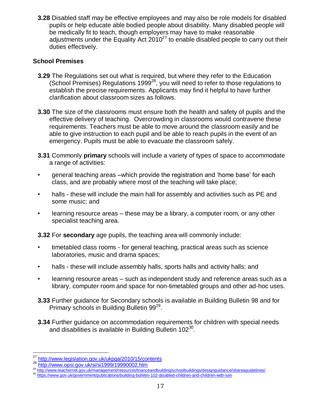**3.28** Disabled staff may be effective employees and may also be role models for disabled pupils or help educate able bodied people about disability. Many disabled people will be medically fit to teach, though employers may have to make reasonable adjustments under the Equality Act  $2010^{27}$  to enable disabled people to carry out their duties effectively.

### **School Premises**

- **3.29** The Regulations set out what is required, but where they refer to the Education (School Premises) Regulations 1999<sup>28</sup>, you will need to refer to those regulations to establish the precise requirements. Applicants may find it helpful to have further clarification about classroom sizes as follows.
- **3.30** The size of the classrooms must ensure both the health and safety of pupils and the effective delivery of teaching. Overcrowding in classrooms would contravene these requirements. Teachers must be able to move around the classroom easily and be able to give instruction to each pupil and be able to reach pupils in the event of an emergency. Pupils must be able to evacuate the classroom safely.
- **3.31** Commonly **primary** schools will include a variety of types of space to accommodate a range of activities:
- general teaching areas –which provide the registration and 'home base' for each class, and are probably where most of the teaching will take place;
- halls these will include the main hall for assembly and activities such as PE and some music; and
- learning resource areas these may be a library, a computer room, or any other specialist teaching area.

**3.32** For **secondary** age pupils, the teaching area will commonly include:

- timetabled class rooms for general teaching, practical areas such as science laboratories, music and drama spaces;
- halls these will include assembly halls, sports halls and activity halls; and
- learning resource areas such as independent study and reference areas such as a library, computer room and space for non-timetabled groups and other ad-hoc uses.
- **3.33** Further guidance for Secondary schools is available in Building Bulletin 98 and for Primary schools in Building Bulletin 99<sup>29</sup>.
- **3.34** Further guidance on accommodation requirements for children with special needs and disabilities is available in Building Bulletin 102 $^{30}$ .

<sup>28</sup> <http://www.opsi.gov.uk/si/si1999/19990002.htm><br><sup>29</sup> <http://www.teachernet.gov.uk/management/resourcesfinanceandbuilding/schoolbuildings/designguidance/sbareaguidelines/>

 $\overline{a}$ <sup>27</sup> <http://www.legislation.gov.uk/ukpga/2010/15/contents>

<sup>30</sup> <https://www.gov.uk/government/publications/building-bulletin-102-disabled-children-and-children-with-sen>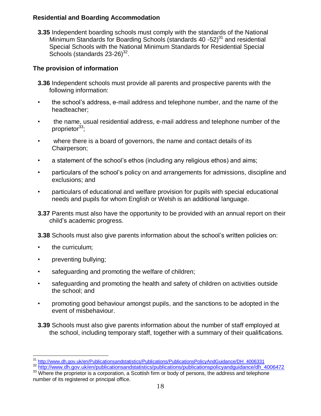### **Residential and Boarding Accommodation**

**3.35** Independent boarding schools must comply with the standards of the National Minimum Standards for Boarding Schools (standards 40 -52) $^{31}$  and residential Special Schools with the National Minimum Standards for Residential Special Schools (standards  $23-26)^{32}$ .

# **The provision of information**

- **3.36** Independent schools must provide all parents and prospective parents with the following information:
- the school's address, e-mail address and telephone number, and the name of the headteacher;
- the name, usual residential address, e-mail address and telephone number of the proprietor $33$ ;
- where there is a board of governors, the name and contact details of its Chairperson;
- a statement of the school's ethos (including any religious ethos) and aims;
- particulars of the school's policy on and arrangements for admissions, discipline and exclusions; and
- particulars of educational and welfare provision for pupils with special educational needs and pupils for whom English or Welsh is an additional language.
- **3.37** Parents must also have the opportunity to be provided with an annual report on their child's academic progress.
- **3.38** Schools must also give parents information about the school's written policies on:
- the curriculum;

- preventing bullying;
- safeguarding and promoting the welfare of children;
- safeguarding and promoting the health and safety of children on activities outside the school; and
- promoting good behaviour amongst pupils, and the sanctions to be adopted in the event of misbehaviour.
- **3.39** Schools must also give parents information about the number of staff employed at the school, including temporary staff, together with a summary of their qualifications.

<sup>&</sup>lt;sup>31</sup> [http://www.dh.gov.uk/en/Publicationsandstatistics/Publications/PublicationsPolicyAndGuidance/DH\\_4006331](http://www.dh.gov.uk/en/Publicationsandstatistics/Publications/PublicationsPolicyAndGuidance/DH_4006331)

<sup>32</sup> [http://www.dh.gov.uk/en/publicationsandstatistics/publications/publicationspolicyandguidance/dh\\_4006472](http://www.dh.gov.uk/en/publicationsandstatistics/publications/publicationspolicyandguidance/dh_4006472)

<sup>&</sup>lt;sup>33</sup> Where the proprietor is a corporation, a Scottish firm or body of persons, the address and telephone number of its registered or principal office.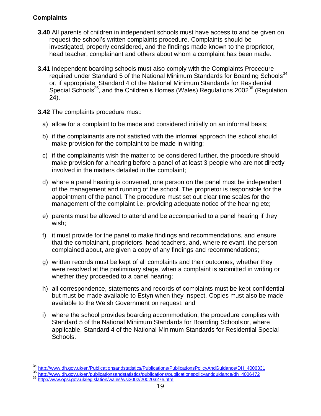# **Complaints**

- **3.40** All parents of children in independent schools must have access to and be given on request the school's written complaints procedure. Complaints should be investigated, properly considered, and the findings made known to the proprietor, head teacher, complainant and others about whom a complaint has been made.
- **3.41** Independent boarding schools must also comply with the Complaints Procedure required under Standard 5 of the National Minimum Standards for Boarding Schools<sup>34</sup> or, if appropriate, Standard 4 of the National Minimum Standards for Residential Special Schools<sup>35</sup>, and the Children's Homes (Wales) Regulations  $2002^{36}$  (Regulation 24).
- **3.42** The complaints procedure must:
	- a) allow for a complaint to be made and considered initially on an informal basis;
	- b) if the complainants are not satisfied with the informal approach the school should make provision for the complaint to be made in writing;
	- c) if the complainants wish the matter to be considered further, the procedure should make provision for a hearing before a panel of at least 3 people who are not directly involved in the matters detailed in the complaint;
	- d) where a panel hearing is convened, one person on the panel must be independent of the management and running of the school. The proprietor is responsible for the appointment of the panel. The procedure must set out clear time scales for the management of the complaint i.e. providing adequate notice of the hearing etc;
	- e) parents must be allowed to attend and be accompanied to a panel hearing if they wish;
	- f) it must provide for the panel to make findings and recommendations, and ensure that the complainant, proprietors, head teachers, and, where relevant, the person complained about, are given a copy of any findings and recommendations;
	- g) written records must be kept of all complaints and their outcomes, whether they were resolved at the preliminary stage, when a complaint is submitted in writing or whether they proceeded to a panel hearing;
	- h) all correspondence, statements and records of complaints must be kept confidential but must be made available to Estyn when they inspect. Copies must also be made available to the Welsh Government on request; and
	- i) where the school provides boarding accommodation, the procedure complies with Standard 5 of the National Minimum Standards for Boarding Schools or, where applicable, Standard 4 of the National Minimum Standards for Residential Special Schools.

<sup>&</sup>lt;sup>34</sup> [http://www.dh.gov.uk/en/Publicationsandstatistics/Publications/PublicationsPolicyAndGuidance/DH\\_4006331](http://www.dh.gov.uk/en/Publicationsandstatistics/Publications/PublicationsPolicyAndGuidance/DH_4006331)

<sup>&</sup>lt;sup>35</sup> [http://www.dh.gov.uk/en/publicationsandstatistics/publications/publicationspolicyandguidance/dh\\_4006472](http://www.dh.gov.uk/en/publicationsandstatistics/publications/publicationspolicyandguidance/dh_4006472)

<sup>36</sup> <http://www.opsi.gov.uk/legislation/wales/wsi2002/20020327e.htm>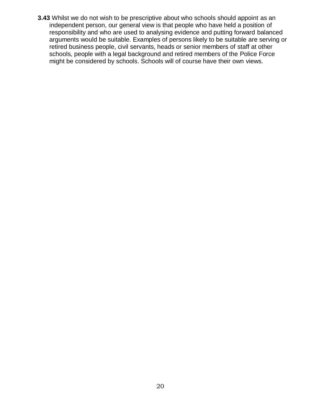**3.43** Whilst we do not wish to be prescriptive about who schools should appoint as an independent person, our general view is that people who have held a position of responsibility and who are used to analysing evidence and putting forward balanced arguments would be suitable. Examples of persons likely to be suitable are serving or retired business people, civil servants, heads or senior members of staff at other schools, people with a legal background and retired members of the Police Force might be considered by schools. Schools will of course have their own views.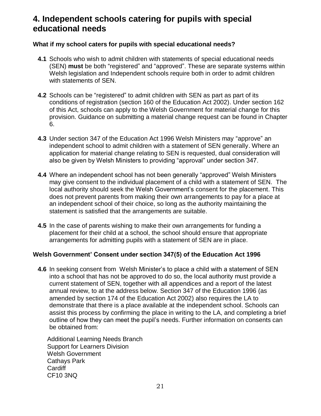# **4. Independent schools catering for pupils with special educational needs**

### **What if my school caters for pupils with special educational needs?**

- **4.1** Schools who wish to admit children with statements of special educational needs (SEN) **must** be both "registered" and "approved". These are separate systems within Welsh legislation and Independent schools require both in order to admit children with statements of SEN.
- **4.2** Schools can be "registered" to admit children with SEN as part as part of its conditions of registration (section 160 of the Education Act 2002). Under section 162 of this Act, schools can apply to the Welsh Government for material change for this provision. Guidance on submitting a material change request can be found in Chapter 6.
- **4.3** Under section 347 of the Education Act 1996 Welsh Ministers may "approve" an independent school to admit children with a statement of SEN generally. Where an application for material change relating to SEN is requested, dual consideration will also be given by Welsh Ministers to providing "approval" under section 347.
- **4.4** Where an independent school has not been generally "approved" Welsh Ministers may give consent to the individual placement of a child with a statement of SEN. The local authority should seek the Welsh Government's consent for the placement. This does not prevent parents from making their own arrangements to pay for a place at an independent school of their choice, so long as the authority maintaining the statement is satisfied that the arrangements are suitable.
- **4.5** In the case of parents wishing to make their own arrangements for funding a placement for their child at a school, the school should ensure that appropriate arrangements for admitting pupils with a statement of SEN are in place.

### **Welsh Government' Consent under section 347(5) of the Education Act 1996**

**4.6** In seeking consent from Welsh Minister's to place a child with a statement of SEN into a school that has not be approved to do so, the local authority must provide a current statement of SEN, together with all appendices and a report of the latest annual review, to at the address below. Section 347 of the Education 1996 (as amended by section 174 of the Education Act 2002) also requires the LA to demonstrate that there is a place available at the independent school. Schools can assist this process by confirming the place in writing to the LA, and completing a brief outline of how they can meet the pupil's needs. Further information on consents can be obtained from:

Additional Learning Needs Branch Support for Learners Division Welsh Government Cathays Park **Cardiff** CF10 3NQ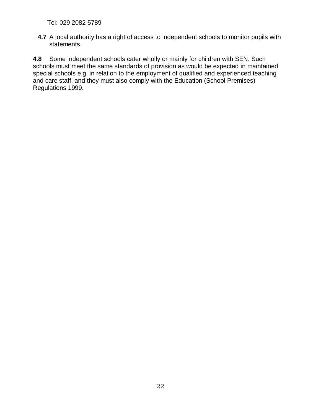Tel: 029 2082 5789

**4.7** A local authority has a right of access to independent schools to monitor pupils with statements.

**4.8** Some independent schools cater wholly or mainly for children with SEN. Such schools must meet the same standards of provision as would be expected in maintained special schools e.g. in relation to the employment of qualified and experienced teaching and care staff, and they must also comply with the Education (School Premises) Regulations 1999.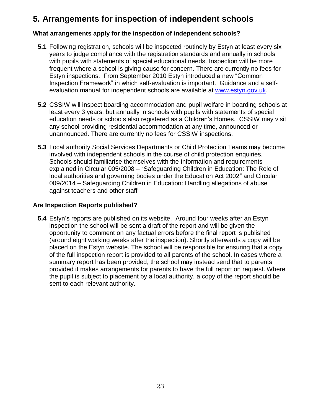# **5. Arrangements for inspection of independent schools**

### **What arrangements apply for the inspection of independent schools?**

- **5.1** Following registration, schools will be inspected routinely by Estyn at least every six years to judge compliance with the registration standards and annually in schools with pupils with statements of special educational needs. Inspection will be more frequent where a school is giving cause for concern. There are currently no fees for Estyn inspections. From September 2010 Estyn introduced a new "Common Inspection Framework" in which self-evaluation is important. Guidance and a selfevaluation manual for independent schools are available at [www.estyn.gov.uk.](http://www.estyn.gov.uk/)
- **5.2** CSSIW will inspect boarding accommodation and pupil welfare in boarding schools at least every 3 years, but annually in schools with pupils with statements of special education needs or schools also registered as a Children's Homes. CSSIW may visit any school providing residential accommodation at any time, announced or unannounced. There are currently no fees for CSSIW inspections.
- **5.3** Local authority Social Services Departments or Child Protection Teams may become involved with independent schools in the course of child protection enquiries. Schools should familiarise themselves with the information and requirements explained in Circular 005/2008 – "Safeguarding Children in Education: The Role of local authorities and governing bodies under the Education Act 2002" and Circular 009/2014 – Safeguarding Children in Education: Handling allegations of abuse against teachers and other staff

### **Are Inspection Reports published?**

**5.4** Estyn's reports are published on its website. Around four weeks after an Estyn inspection the school will be sent a draft of the report and will be given the opportunity to comment on any factual errors before the final report is published (around eight working weeks after the inspection). Shortly afterwards a copy will be placed on the Estyn website. The school will be responsible for ensuring that a copy of the full inspection report is provided to all parents of the school. In cases where a summary report has been provided, the school may instead send that to parents provided it makes arrangements for parents to have the full report on request. Where the pupil is subject to placement by a local authority, a copy of the report should be sent to each relevant authority.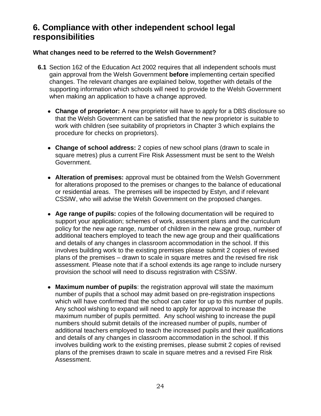# **6. Compliance with other independent school legal responsibilities**

### **What changes need to be referred to the Welsh Government?**

- **6.1** Section 162 of the Education Act 2002 requires that all independent schools must gain approval from the Welsh Government **before** implementing certain specified changes. The relevant changes are explained below, together with details of the supporting information which schools will need to provide to the Welsh Government when making an application to have a change approved.
	- **Change of proprietor:** A new proprietor will have to apply for a DBS disclosure so that the Welsh Government can be satisfied that the new proprietor is suitable to work with children (see suitability of proprietors in Chapter 3 which explains the procedure for checks on proprietors).
	- **Change of school address:** 2 copies of new school plans (drawn to scale in square metres) plus a current Fire Risk Assessment must be sent to the Welsh Government.
	- **Alteration of premises:** approval must be obtained from the Welsh Government for alterations proposed to the premises or changes to the balance of educational or residential areas. The premises will be inspected by Estyn, and if relevant CSSIW, who will advise the Welsh Government on the proposed changes.
	- **Age range of pupils:** copies of the following documentation will be required to support your application; schemes of work, assessment plans and the curriculum policy for the new age range, number of children in the new age group, number of additional teachers employed to teach the new age group and their qualifications and details of any changes in classroom accommodation in the school. If this involves building work to the existing premises please submit 2 copies of revised plans of the premises – drawn to scale in square metres and the revised fire risk assessment. Please note that if a school extends its age range to include nursery provision the school will need to discuss registration with CSSIW.
	- **Maximum number of pupils**: the registration approval will state the maximum number of pupils that a school may admit based on pre-registration inspections which will have confirmed that the school can cater for up to this number of pupils. Any school wishing to expand will need to apply for approval to increase the maximum number of pupils permitted. Any school wishing to increase the pupil numbers should submit details of the increased number of pupils, number of additional teachers employed to teach the increased pupils and their qualifications and details of any changes in classroom accommodation in the school. If this involves building work to the existing premises, please submit 2 copies of revised plans of the premises drawn to scale in square metres and a revised Fire Risk Assessment.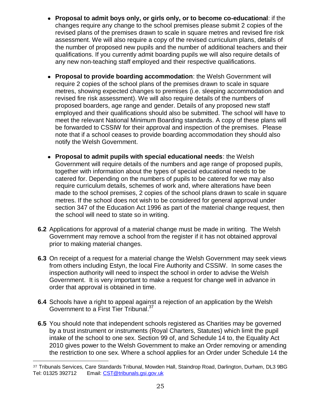- **Proposal to admit boys only, or girls only, or to become co-educational**: if the changes require any change to the school premises please submit 2 copies of the revised plans of the premises drawn to scale in square metres and revised fire risk assessment. We will also require a copy of the revised curriculum plans, details of the number of proposed new pupils and the number of additional teachers and their qualifications. If you currently admit boarding pupils we will also require details of any new non-teaching staff employed and their respective qualifications.
- **Proposal to provide boarding accommodation**: the Welsh Government will require 2 copies of the school plans of the premises drawn to scale in square metres, showing expected changes to premises (i.e. sleeping accommodation and revised fire risk assessment). We will also require details of the numbers of proposed boarders, age range and gender. Details of any proposed new staff employed and their qualifications should also be submitted. The school will have to meet the relevant National Minimum Boarding standards. A copy of these plans will be forwarded to CSSIW for their approval and inspection of the premises. Please note that if a school ceases to provide boarding accommodation they should also notify the Welsh Government.
- **Proposal to admit pupils with special educational needs**: the Welsh Government will require details of the numbers and age range of proposed pupils, together with information about the types of special educational needs to be catered for. Depending on the numbers of pupils to be catered for we may also require curriculum details, schemes of work and, where alterations have been made to the school premises, 2 copies of the school plans drawn to scale in square metres. If the school does not wish to be considered for general approval under section 347 of the Education Act 1996 as part of the material change request, then the school will need to state so in writing.
- **6.2** Applications for approval of a material change must be made in writing. The Welsh Government may remove a school from the register if it has not obtained approval prior to making material changes.
- **6.3** On receipt of a request for a material change the Welsh Government may seek views from others including Estyn, the local Fire Authority and CSSIW. In some cases the inspection authority will need to inspect the school in order to advise the Welsh Government. It is very important to make a request for change well in advance in order that approval is obtained in time.
- **6.4** Schools have a right to appeal against a rejection of an application by the Welsh Government to a First Tier Tribunal.<sup>37</sup>
- **6.5** You should note that independent schools registered as Charities may be governed by a trust instrument or instruments (Royal Charters, Statutes) which limit the pupil intake of the school to one sex. Section 99 of, and Schedule 14 to, the Equality Act 2010 gives power to the Welsh Government to make an Order removing or amending the restriction to one sex. Where a school applies for an Order under Schedule 14 the

 $\overline{a}$ 37 Tribunals Services, Care Standards Tribunal, Mowden Hall, Staindrop Road, Darlington, Durham, DL3 9BG Tel: 01325 392712 Email: [CST@tribunals.gsi.gov.uk](mailto:CST%40tribunals.gsi.gov.uk)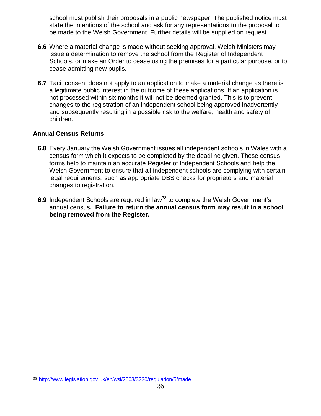school must publish their proposals in a public newspaper. The published notice must state the intentions of the school and ask for any representations to the proposal to be made to the Welsh Government. Further details will be supplied on request.

- **6.6** Where a material change is made without seeking approval, Welsh Ministers may issue a determination to remove the school from the Register of Independent Schools, or make an Order to cease using the premises for a particular purpose, or to cease admitting new pupils.
- **6.7** Tacit consent does not apply to an application to make a material change as there is a legitimate public interest in the outcome of these applications. If an application is not processed within six months it will not be deemed granted. This is to prevent changes to the registration of an independent school being approved inadvertently and subsequently resulting in a possible risk to the welfare, health and safety of children.

### **Annual Census Returns**

- **6.8** Every January the Welsh Government issues all independent schools in Wales with a census form which it expects to be completed by the deadline given. These census forms help to maintain an accurate Register of Independent Schools and help the Welsh Government to ensure that all independent schools are complying with certain legal requirements, such as appropriate DBS checks for proprietors and material changes to registration.
- **6.9** Independent Schools are required in law<sup>38</sup> to complete the Welsh Government's annual census**. Failure to return the annual census form may result in a school being removed from the Register.**

<sup>38</sup> <http://www.legislation.gov.uk/en/wsi/2003/3230/regulation/5/made>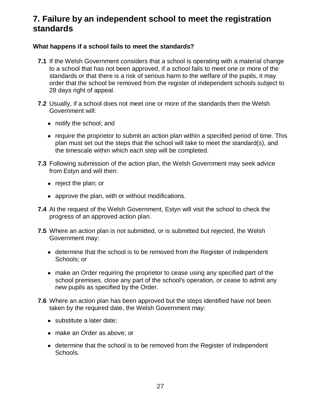# **7. Failure by an independent school to meet the registration standards**

### **What happens if a school fails to meet the standards?**

- **7.1** If the Welsh Government considers that a school is operating with a material change to a school that has not been approved, if a school fails to meet one or more of the standards or that there is a risk of serious harm to the welfare of the pupils, it may order that the school be removed from the register of independent schools subject to 28 days right of appeal.
- **7.2** Usually, if a school does not meet one or more of the standards then the Welsh Government will:
	- notify the school; and
	- require the proprietor to submit an action plan within a specified period of time. This plan must set out the steps that the school will take to meet the standard(s), and the timescale within which each step will be completed.
- **7.3** Following submission of the action plan, the Welsh Government may seek advice from Estyn and will then:
	- reject the plan; or
	- approve the plan, with or without modifications.
- **7.4** At the request of the Welsh Government, Estyn will visit the school to check the progress of an approved action plan.
- **7.5** Where an action plan is not submitted, or is submitted but rejected, the Welsh Government may:
	- determine that the school is to be removed from the Register of Independent Schools; or
	- make an Order requiring the proprietor to cease using any specified part of the school premises, close any part of the school's operation, or cease to admit any new pupils as specified by the Order.
- **7.6** Where an action plan has been approved but the steps identified have not been taken by the required date, the Welsh Government may:
	- substitute a later date;
	- make an Order as above; or
	- determine that the school is to be removed from the Register of Independent Schools.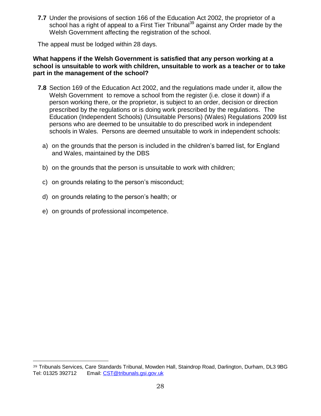**7.7** Under the provisions of section 166 of the Education Act 2002, the proprietor of a school has a right of appeal to a First Tier Tribunal<sup>39</sup> against any Order made by the Welsh Government affecting the registration of the school.

The appeal must be lodged within 28 days.

#### **What happens if the Welsh Government is satisfied that any person working at a school is unsuitable to work with children, unsuitable to work as a teacher or to take part in the management of the school?**

- **7.8** Section 169 of the Education Act 2002, and the regulations made under it, allow the Welsh Government to remove a school from the register (i.e. close it down) if a person working there, or the proprietor, is subject to an order, decision or direction prescribed by the regulations or is doing work prescribed by the regulations. The Education (Independent Schools) (Unsuitable Persons) (Wales) Regulations 2009 list persons who are deemed to be unsuitable to do prescribed work in independent schools in Wales. Persons are deemed unsuitable to work in independent schools:
	- a) on the grounds that the person is included in the children's barred list, for England and Wales, maintained by the DBS
	- b) on the grounds that the person is unsuitable to work with children;
	- c) on grounds relating to the person's misconduct;
	- d) on grounds relating to the person's health; or
	- e) on grounds of professional incompetence.

<sup>39</sup> Tribunals Services, Care Standards Tribunal, Mowden Hall, Staindrop Road, Darlington, Durham, DL3 9BG Tel: 01325 392712 Email: [CST@tribunals.gsi.gov.uk](mailto:CST%40tribunals.gsi.gov.uk)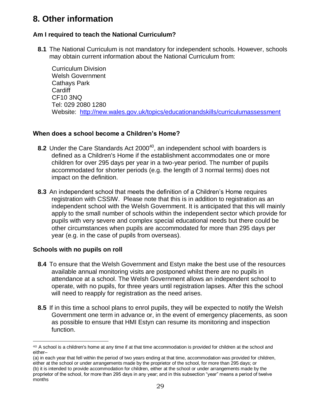# **8. Other information**

# **Am I required to teach the National Curriculum?**

**8.1** The National Curriculum is not mandatory for independent schools. However, schools may obtain current information about the National Curriculum from:

Curriculum Division Welsh Government Cathays Park **Cardiff** CF10 3NQ Tel: 029 2080 1280 Website: <http://new.wales.gov.uk/topics/educationandskills/curriculumassessment>

# **When does a school become a Children's Home?**

- **8.2** Under the Care Standards Act 2000<sup>40</sup>, an independent school with boarders is defined as a Children's Home if the establishment accommodates one or more children for over 295 days per year in a two-year period. The number of pupils accommodated for shorter periods (e.g. the length of 3 normal terms) does not impact on the definition.
- **8.3** An independent school that meets the definition of a Children's Home requires registration with CSSIW. Please note that this is in addition to registration as an independent school with the Welsh Government. It is anticipated that this will mainly apply to the small number of schools within the independent sector which provide for pupils with very severe and complex special educational needs but there could be other circumstances when pupils are accommodated for more than 295 days per year (e.g. in the case of pupils from overseas).

# **Schools with no pupils on roll**

 $\overline{a}$ 

months

- **8.4** To ensure that the Welsh Government and Estyn make the best use of the resources available annual monitoring visits are postponed whilst there are no pupils in attendance at a school. The Welsh Government allows an independent school to operate, with no pupils, for three years until registration lapses. After this the school will need to reapply for registration as the need arises.
- **8.5** If in this time a school plans to enrol pupils, they will be expected to notify the Welsh Government one term in advance or, in the event of emergency placements, as soon as possible to ensure that HMI Estyn can resume its monitoring and inspection function.

<sup>40</sup> A school is a children's home at any time if at that time accommodation is provided for children at the school and either–

<sup>(</sup>a) in each year that fell within the period of two years ending at that time, accommodation was provided for children, either at the school or under arrangements made by the proprietor of the school, for more than 295 days; or (b) it is intended to provide accommodation for children, either at the school or under arrangements made by the proprietor of the school, for more than 295 days in any year; and in this subsection "year" means a period of twelve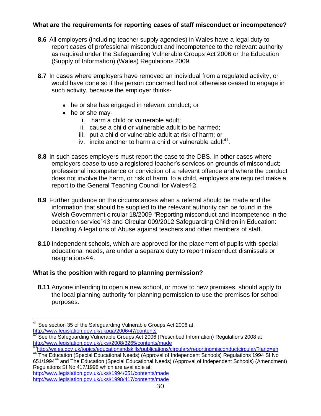# **What are the requirements for reporting cases of staff misconduct or incompetence?**

- **8.6** All employers (including teacher supply agencies) in Wales have a legal duty to report cases of professional misconduct and incompetence to the relevant authority as required under the Safeguarding Vulnerable Groups Act 2006 or the Education (Supply of Information) (Wales) Regulations 2009.
- **8.7** In cases where employers have removed an individual from a regulated activity, or would have done so if the person concerned had not otherwise ceased to engage in such activity, because the employer thinks-
	- he or she has engaged in relevant conduct; or
	- he or she may
		- i. harm a child or vulnerable adult;
		- ii. cause a child or vulnerable adult to be harmed;
		- iii. put a child or vulnerable adult at risk of harm; or
		- iv. incite another to harm a child or vulnerable adult $41$ .
- **8.8** In such cases employers must report the case to the DBS. In other cases where employers cease to use a registered teacher's services on grounds of misconduct; professional incompetence or conviction of a relevant offence and where the conduct does not involve the harm, or risk of harm, to a child, employers are required make a report to the General Teaching Council for Wales42.
- **8.9** Further guidance on the circumstances when a referral should be made and the information that should be supplied to the relevant authority can be found in the Welsh Government circular 18/2009 "Reporting misconduct and incompetence in the education service"43 and Circular 009/2012 Safeguarding Children in Education: Handling Allegations of Abuse against teachers and other members of staff.
- **8.10** Independent schools, which are approved for the placement of pupils with special educational needs, are under a separate duty to report misconduct dismissals or resignations44.

# **What is the position with regard to planning permission?**

**8.11** Anyone intending to open a new school, or move to new premises, should apply to the local planning authority for planning permission to use the premises for school purposes.

 $\overline{a}$  $41$  See section 35 of the Safeguarding Vulnerable Groups Act 2006 at <http://www.legislation.gov.uk/ukpga/2006/47/contents>

 $42$  See the Safeguarding Vulnerable Groups Act 2006 (Prescribed Information) Regulations 2008 at <http://www.legislation.gov.uk/uksi/2008/3265/contents/made>

<sup>43</sup><http://wales.gov.uk/topics/educationandskills/publications/circulars/reportingmisconductcircular/?lang=en>

<sup>44</sup> The Education (Special Educational Needs) (Approval of Independent Schools) Regulations 1994 SI No 651/1994<sup>44</sup> and The Education (Special Educational Needs) (Approval of Independent Schools) (Amendment) Regulations SI No 417/1998 which are available at:

<http://www.legislation.gov.uk/uksi/1994/651/contents/made> <http://www.legislation.gov.uk/uksi/1998/417/contents/made>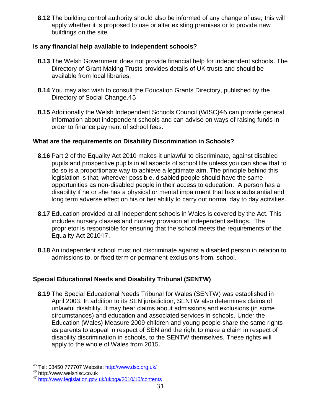**8.12** The building control authority should also be informed of any change of use; this will apply whether it is proposed to use or alter existing premises or to provide new buildings on the site.

### **Is any financial help available to independent schools?**

- **8.13** The Welsh Government does not provide financial help for independent schools. The Directory of Grant Making Trusts provides details of UK trusts and should be available from local libraries.
- **8.14** You may also wish to consult the Education Grants Directory, published by the Directory of Social Change.45
- **8.15** Additionally the Welsh Independent Schools Council (WISC)46 can provide general information about independent schools and can advise on ways of raising funds in order to finance payment of school fees.

### **What are the requirements on Disability Discrimination in Schools?**

- **8.16** Part 2 of the Equality Act 2010 makes it unlawful to discriminate, against disabled pupils and prospective pupils in all aspects of school life unless you can show that to do so is a proportionate way to achieve a legitimate aim. The principle behind this legislation is that, wherever possible, disabled people should have the same opportunities as non-disabled people in their access to education. A person has a disability if he or she has a physical or mental impairment that has a substantial and long term adverse effect on his or her ability to carry out normal day to day activities.
- **8.17** Education provided at all independent schools in Wales is covered by the Act. This includes nursery classes and nursery provision at independent settings. The proprietor is responsible for ensuring that the school meets the requirements of the Equality Act 201047.
- **8.18** An independent school must not discriminate against a disabled person in relation to admissions to, or fixed term or permanent exclusions from, school.

# **Special Educational Needs and Disability Tribunal (SENTW)**

**8.19** The Special Educational Needs Tribunal for Wales (SENTW) was established in April 2003. In addition to its SEN jurisdiction, SENTW also determines claims of unlawful disability. It may hear claims about admissions and exclusions (in some circumstances) and education and associated services in schools. Under the Education (Wales) Measure 2009 children and young people share the same rights as parents to appeal in respect of SEN and the right to make a claim in respect of disability discrimination in schools, to the SENTW themselves. These rights will apply to the whole of Wales from 2015.

 $\overline{a}$ <sup>45</sup> Tel: 08450 777707 Website: <u>http://www.dsc.org.uk/</u>

<sup>46</sup> [http://www.welshisc.co.uk](http://www.isc.co.uk/)

<sup>47</sup> <http://www.legislation.gov.uk/ukpga/2010/15/contents>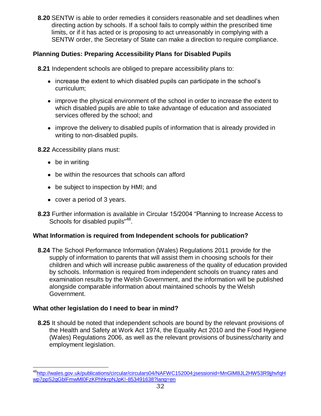**8.20** SENTW is able to order remedies it considers reasonable and set deadlines when directing action by schools. If a school fails to comply within the prescribed time limits, or if it has acted or is proposing to act unreasonably in complying with a SENTW order, the Secretary of State can make a direction to require compliance.

# **Planning Duties: Preparing Accessibility Plans for Disabled Pupils**

**8.21** Independent schools are obliged to prepare accessibility plans to:

- increase the extent to which disabled pupils can participate in the school's curriculum;
- improve the physical environment of the school in order to increase the extent to which disabled pupils are able to take advantage of education and associated services offered by the school; and
- improve the delivery to disabled pupils of information that is already provided in writing to non-disabled pupils.

**8.22** Accessibility plans must:

- be in writing
- be within the resources that schools can afford
- be subject to inspection by HMI; and
- cover a period of 3 years.
- **8.23** Further information is available in Circular 15/2004 "Planning to Increase Access to Schools for disabled pupils"<sup>48</sup>.

### **What Information is required from Independent schools for publication?**

**8.24** The School Performance Information (Wales) Regulations 2011 provide for the supply of information to parents that will assist them in choosing schools for their children and which will increase public awareness of the quality of education provided by schools. Information is required from independent schools on truancy rates and examination results by the Welsh Government, and the information will be published alongside comparable information about maintained schools by the Welsh Government.

### **What other legislation do I need to bear in mind?**

**8.25** It should be noted that independent schools are bound by the relevant provisions of the Health and Safety at Work Act 1974, the Equality Act 2010 and the Food Hygiene (Wales) Regulations 2006, as well as the relevant provisions of business/charity and employment legislation.

 $\overline{a}$ <sup>48</sup>[http://wales.gov.uk/publications/circular/circulars04/NAFWC152004;jsessionid=MnGlM8JL2HW53R9jjhvfqH](http://wales.gov.uk/publications/circular/circulars04/NAFWC152004;jsessionid=MnGlM8JL2HW53R9jjhvfqHwp7ppS2gGblFmwMl0FzKPhhkrpNJpK!-853491638?lang=en) [wp7ppS2gGblFmwMl0FzKPhhkrpNJpK!-853491638?lang=en](http://wales.gov.uk/publications/circular/circulars04/NAFWC152004;jsessionid=MnGlM8JL2HW53R9jjhvfqHwp7ppS2gGblFmwMl0FzKPhhkrpNJpK!-853491638?lang=en)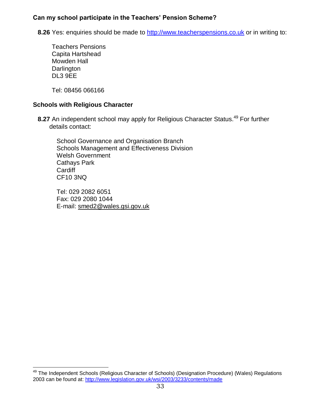### **Can my school participate in the Teachers' Pension Scheme?**

**8.26** Yes: enquiries should be made to [http://www.teacherspensions.co.uk](http://www.teacherspensions.co.uk/) or in writing to:

Teachers Pensions Capita Hartshead Mowden Hall **Darlington** DL3 9EE

Tel: 08456 066166

 $\overline{a}$ 

### **Schools with Religious Character**

**8.27** An independent school may apply for Religious Character Status.<sup>49</sup> For further details contact:

School Governance and Organisation Branch Schools Management and Effectiveness Division Welsh Government Cathays Park **Cardiff** CF10 3NQ

Tel: 029 2082 6051 Fax: 029 2080 1044 E-mail: [smed2@wales.gsi.gov.uk](mailto:smed2@wales.gsi.gov.uk)

<sup>&</sup>lt;sup>49</sup> The Independent Schools (Religious Character of Schools) (Designation Procedure) (Wales) Regulations 2003 can be found at:<http://www.legislation.gov.uk/wsi/2003/3233/contents/made>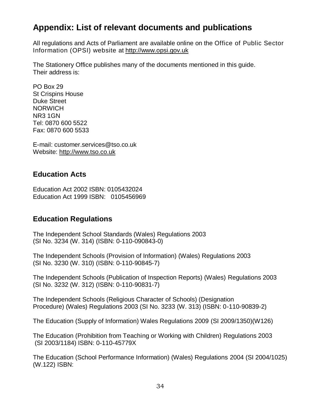# **Appendix: List of relevant documents and publications**

All regulations and Acts of Parliament are available online on the Office of Public Sector Information (OPSI) website at [http://www.opsi.gov.uk](http://www.opsi.gov.uk/)

The Stationery Office publishes many of the documents mentioned in this guide. Their address is:

PO Box 29 St Crispins House Duke Street NORWICH NR3 1GN Tel: 0870 600 5522 Fax: 0870 600 5533

E-mail: customer.services@tso.co.uk Website: [http://www.tso.co.uk](http://www.tso.co.uk/)

# **Education Acts**

Education Act 2002 ISBN: 0105432024 Education Act 1999 ISBN: 0105456969

# **Education Regulations**

The Independent School Standards (Wales) Regulations 2003 (SI No. 3234 (W. 314) (ISBN: 0-110-090843-0)

The Independent Schools (Provision of Information) (Wales) Regulations 2003 (SI No. 3230 (W. 310) (ISBN: 0-110-90845-7)

The Independent Schools (Publication of Inspection Reports) (Wales) Regulations 2003 (SI No. 3232 (W. 312) (ISBN: 0-110-90831-7)

The Independent Schools (Religious Character of Schools) (Designation Procedure) (Wales) Regulations 2003 (SI No. 3233 (W. 313) (ISBN: 0-110-90839-2)

The Education (Supply of Information) Wales Regulations 2009 (SI 2009/1350)(W126)

The Education (Prohibition from Teaching or Working with Children) Regulations 2003 (SI 2003/1184) ISBN: 0-110-45779X

The Education (School Performance Information) (Wales) Regulations 2004 (SI 2004/1025) (W.122) ISBN: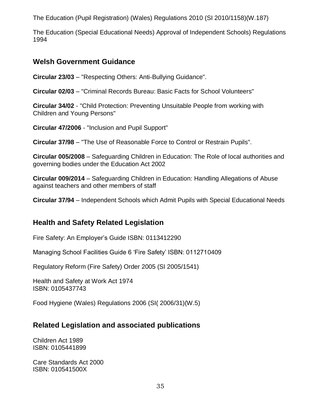The Education (Pupil Registration) (Wales) Regulations 2010 (SI 2010/1158)(W.187)

The Education (Special Educational Needs) Approval of Independent Schools) Regulations 1994

# **Welsh Government Guidance**

**Circular 23/03** – "Respecting Others: Anti-Bullying Guidance".

**Circular 02/03** – "Criminal Records Bureau: Basic Facts for School Volunteers"

**Circular 34/02** - "Child Protection: Preventing Unsuitable People from working with Children and Young Persons"

**Circular 47/2006** - "Inclusion and Pupil Support"

**Circular 37/98** – "The Use of Reasonable Force to Control or Restrain Pupils".

**Circular 005/2008** – Safeguarding Children in Education: The Role of local authorities and governing bodies under the Education Act 2002

**Circular 009/2014** – Safeguarding Children in Education: Handling Allegations of Abuse against teachers and other members of staff

**Circular 37/94** – Independent Schools which Admit Pupils with Special Educational Needs

# **Health and Safety Related Legislation**

Fire Safety: An Employer's Guide ISBN: 0113412290

Managing School Facilities Guide 6 'Fire Safety' ISBN: 0112710409

Regulatory Reform (Fire Safety) Order 2005 (SI 2005/1541)

Health and Safety at Work Act 1974 ISBN: 0105437743

Food Hygiene (Wales) Regulations 2006 (SI( 2006/31)(W.5)

# **Related Legislation and associated publications**

Children Act 1989 ISBN: 0105441899

Care Standards Act 2000 ISBN: 010541500X